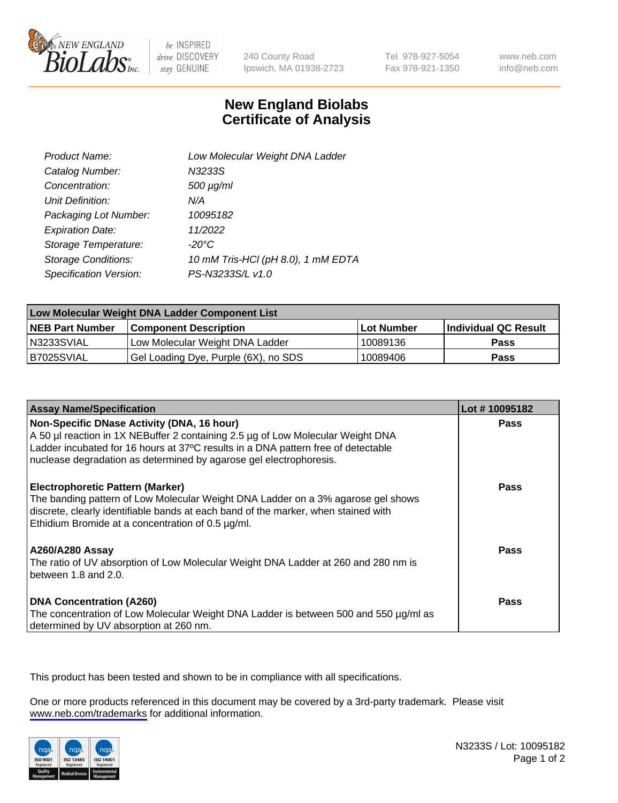

be INSPIRED drive DISCOVERY stay GENUINE

240 County Road Ipswich, MA 01938-2723 Tel 978-927-5054 Fax 978-921-1350

www.neb.com info@neb.com

## **New England Biolabs Certificate of Analysis**

| Product Name:           | Low Molecular Weight DNA Ladder    |
|-------------------------|------------------------------------|
| Catalog Number:         | N3233S                             |
| Concentration:          | $500 \mu g/ml$                     |
| Unit Definition:        | N/A                                |
| Packaging Lot Number:   | 10095182                           |
| <b>Expiration Date:</b> | 11/2022                            |
| Storage Temperature:    | $-20^{\circ}$ C                    |
| Storage Conditions:     | 10 mM Tris-HCl (pH 8.0), 1 mM EDTA |
| Specification Version:  | PS-N3233S/L v1.0                   |

| Low Molecular Weight DNA Ladder Component List |                                      |              |                      |  |
|------------------------------------------------|--------------------------------------|--------------|----------------------|--|
| <b>NEB Part Number</b>                         | <b>Component Description</b>         | l Lot Number | Individual QC Result |  |
| N3233SVIAL                                     | Low Molecular Weight DNA Ladder      | 10089136     | <b>Pass</b>          |  |
| B7025SVIAL                                     | Gel Loading Dye, Purple (6X), no SDS | 10089406     | <b>Pass</b>          |  |

| <b>Assay Name/Specification</b>                                                                                                                                                                                                                                                          | Lot #10095182 |
|------------------------------------------------------------------------------------------------------------------------------------------------------------------------------------------------------------------------------------------------------------------------------------------|---------------|
| Non-Specific DNase Activity (DNA, 16 hour)<br>A 50 µl reaction in 1X NEBuffer 2 containing 2.5 µg of Low Molecular Weight DNA<br>Ladder incubated for 16 hours at 37°C results in a DNA pattern free of detectable<br>nuclease degradation as determined by agarose gel electrophoresis. | <b>Pass</b>   |
| <b>Electrophoretic Pattern (Marker)</b><br>The banding pattern of Low Molecular Weight DNA Ladder on a 3% agarose gel shows<br>discrete, clearly identifiable bands at each band of the marker, when stained with<br>Ethidium Bromide at a concentration of 0.5 µg/ml.                   | Pass          |
| <b>A260/A280 Assay</b><br>The ratio of UV absorption of Low Molecular Weight DNA Ladder at 260 and 280 nm is<br>between 1.8 and 2.0.                                                                                                                                                     | Pass          |
| <b>DNA Concentration (A260)</b><br>The concentration of Low Molecular Weight DNA Ladder is between 500 and 550 µg/ml as<br>determined by UV absorption at 260 nm.                                                                                                                        | <b>Pass</b>   |

This product has been tested and shown to be in compliance with all specifications.

One or more products referenced in this document may be covered by a 3rd-party trademark. Please visit <www.neb.com/trademarks>for additional information.